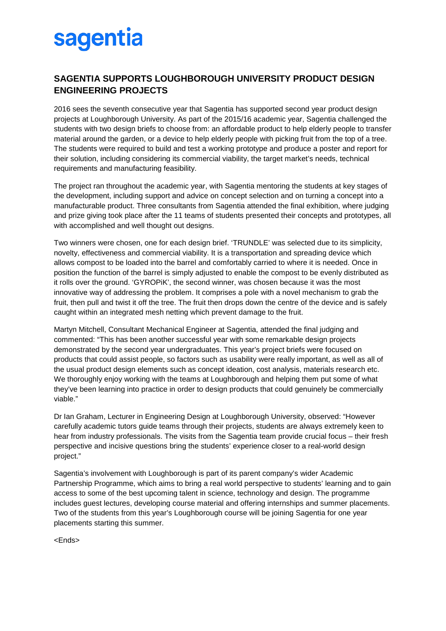## sagentia

## **SAGENTIA SUPPORTS LOUGHBOROUGH UNIVERSITY PRODUCT DESIGN ENGINEERING PROJECTS**

2016 sees the seventh consecutive year that Sagentia has supported second year product design projects at Loughborough University. As part of the 2015/16 academic year, Sagentia challenged the students with two design briefs to choose from: an affordable product to help elderly people to transfer material around the garden, or a device to help elderly people with picking fruit from the top of a tree. The students were required to build and test a working prototype and produce a poster and report for their solution, including considering its commercial viability, the target market's needs, technical requirements and manufacturing feasibility.

The project ran throughout the academic year, with Sagentia mentoring the students at key stages of the development, including support and advice on concept selection and on turning a concept into a manufacturable product. Three consultants from Sagentia attended the final exhibition, where judging and prize giving took place after the 11 teams of students presented their concepts and prototypes, all with accomplished and well thought out designs.

Two winners were chosen, one for each design brief. 'TRUNDLE' was selected due to its simplicity, novelty, effectiveness and commercial viability. It is a transportation and spreading device which allows compost to be loaded into the barrel and comfortably carried to where it is needed. Once in position the function of the barrel is simply adjusted to enable the compost to be evenly distributed as it rolls over the ground. 'GYROPiK', the second winner, was chosen because it was the most innovative way of addressing the problem. It comprises a pole with a novel mechanism to grab the fruit, then pull and twist it off the tree. The fruit then drops down the centre of the device and is safely caught within an integrated mesh netting which prevent damage to the fruit.

Martyn Mitchell, Consultant Mechanical Engineer at Sagentia, attended the final judging and commented: "This has been another successful year with some remarkable design projects demonstrated by the second year undergraduates. This year's project briefs were focused on products that could assist people, so factors such as usability were really important, as well as all of the usual product design elements such as concept ideation, cost analysis, materials research etc. We thoroughly enjoy working with the teams at Loughborough and helping them put some of what they've been learning into practice in order to design products that could genuinely be commercially viable."

Dr Ian Graham, Lecturer in Engineering Design at Loughborough University, observed: "However carefully academic tutors guide teams through their projects, students are always extremely keen to hear from industry professionals. The visits from the Sagentia team provide crucial focus – their fresh perspective and incisive questions bring the students' experience closer to a real-world design project."

Sagentia's involvement with Loughborough is part of its parent company's wider Academic Partnership Programme, which aims to bring a real world perspective to students' learning and to gain access to some of the best upcoming talent in science, technology and design. The programme includes guest lectures, developing course material and offering internships and summer placements. Two of the students from this year's Loughborough course will be joining Sagentia for one year placements starting this summer.

<Ends>